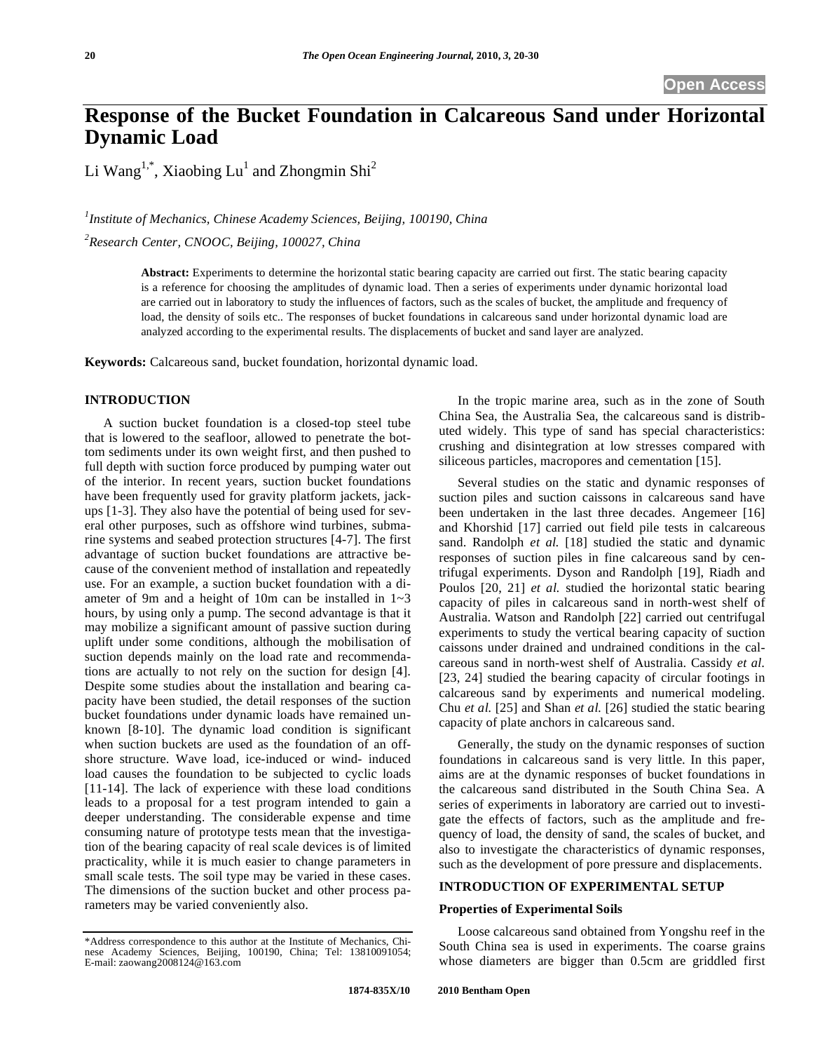# **Response of the Bucket Foundation in Calcareous Sand under Horizontal Dynamic Load**

Li  $Wang^{1,*}$ , Xiaobing Lu<sup>1</sup> and Zhongmin Shi<sup>2</sup>

<sup>1</sup> Institute of Mechanics, Chinese Academy Sciences, Beijing, 100190, China

*2 Research Center, CNOOC, Beijing, 100027, China* 

**Abstract:** Experiments to determine the horizontal static bearing capacity are carried out first. The static bearing capacity is a reference for choosing the amplitudes of dynamic load. Then a series of experiments under dynamic horizontal load are carried out in laboratory to study the influences of factors, such as the scales of bucket, the amplitude and frequency of load, the density of soils etc.. The responses of bucket foundations in calcareous sand under horizontal dynamic load are analyzed according to the experimental results. The displacements of bucket and sand layer are analyzed.

**Keywords:** Calcareous sand, bucket foundation, horizontal dynamic load.

## **INTRODUCTION**

A suction bucket foundation is a closed-top steel tube that is lowered to the seafloor, allowed to penetrate the bottom sediments under its own weight first, and then pushed to full depth with suction force produced by pumping water out of the interior. In recent years, suction bucket foundations have been frequently used for gravity platform jackets, jackups [1-3]. They also have the potential of being used for several other purposes, such as offshore wind turbines, submarine systems and seabed protection structures [4-7]. The first advantage of suction bucket foundations are attractive because of the convenient method of installation and repeatedly use. For an example, a suction bucket foundation with a diameter of 9m and a height of 10m can be installed in 1~3 hours, by using only a pump. The second advantage is that it may mobilize a significant amount of passive suction during uplift under some conditions, although the mobilisation of suction depends mainly on the load rate and recommendations are actually to not rely on the suction for design [4]. Despite some studies about the installation and bearing capacity have been studied, the detail responses of the suction bucket foundations under dynamic loads have remained unknown [8-10]. The dynamic load condition is significant when suction buckets are used as the foundation of an offshore structure. Wave load, ice-induced or wind- induced load causes the foundation to be subjected to cyclic loads [11-14]. The lack of experience with these load conditions leads to a proposal for a test program intended to gain a deeper understanding. The considerable expense and time consuming nature of prototype tests mean that the investigation of the bearing capacity of real scale devices is of limited practicality, while it is much easier to change parameters in small scale tests. The soil type may be varied in these cases. The dimensions of the suction bucket and other process parameters may be varied conveniently also.

In the tropic marine area, such as in the zone of South China Sea, the Australia Sea, the calcareous sand is distributed widely. This type of sand has special characteristics: crushing and disintegration at low stresses compared with siliceous particles, macropores and cementation [15].

Several studies on the static and dynamic responses of suction piles and suction caissons in calcareous sand have been undertaken in the last three decades. Angemeer [16] and Khorshid [17] carried out field pile tests in calcareous sand. Randolph *et al.* [18] studied the static and dynamic responses of suction piles in fine calcareous sand by centrifugal experiments. Dyson and Randolph [19], Riadh and Poulos [20, 21] *et al.* studied the horizontal static bearing capacity of piles in calcareous sand in north-west shelf of Australia. Watson and Randolph [22] carried out centrifugal experiments to study the vertical bearing capacity of suction caissons under drained and undrained conditions in the calcareous sand in north-west shelf of Australia. Cassidy *et al.*  [23, 24] studied the bearing capacity of circular footings in calcareous sand by experiments and numerical modeling. Chu *et al.* [25] and Shan *et al.* [26] studied the static bearing capacity of plate anchors in calcareous sand.

Generally, the study on the dynamic responses of suction foundations in calcareous sand is very little. In this paper, aims are at the dynamic responses of bucket foundations in the calcareous sand distributed in the South China Sea. A series of experiments in laboratory are carried out to investigate the effects of factors, such as the amplitude and frequency of load, the density of sand, the scales of bucket, and also to investigate the characteristics of dynamic responses, such as the development of pore pressure and displacements.

# **INTRODUCTION OF EXPERIMENTAL SETUP**

## **Properties of Experimental Soils**

Loose calcareous sand obtained from Yongshu reef in the South China sea is used in experiments. The coarse grains whose diameters are bigger than 0.5cm are griddled first

<sup>\*</sup>Address correspondence to this author at the Institute of Mechanics, Chinese Academy Sciences, Beijing, 100190, China; Tel: 13810091054; E-mail: zaowang2008124@163.com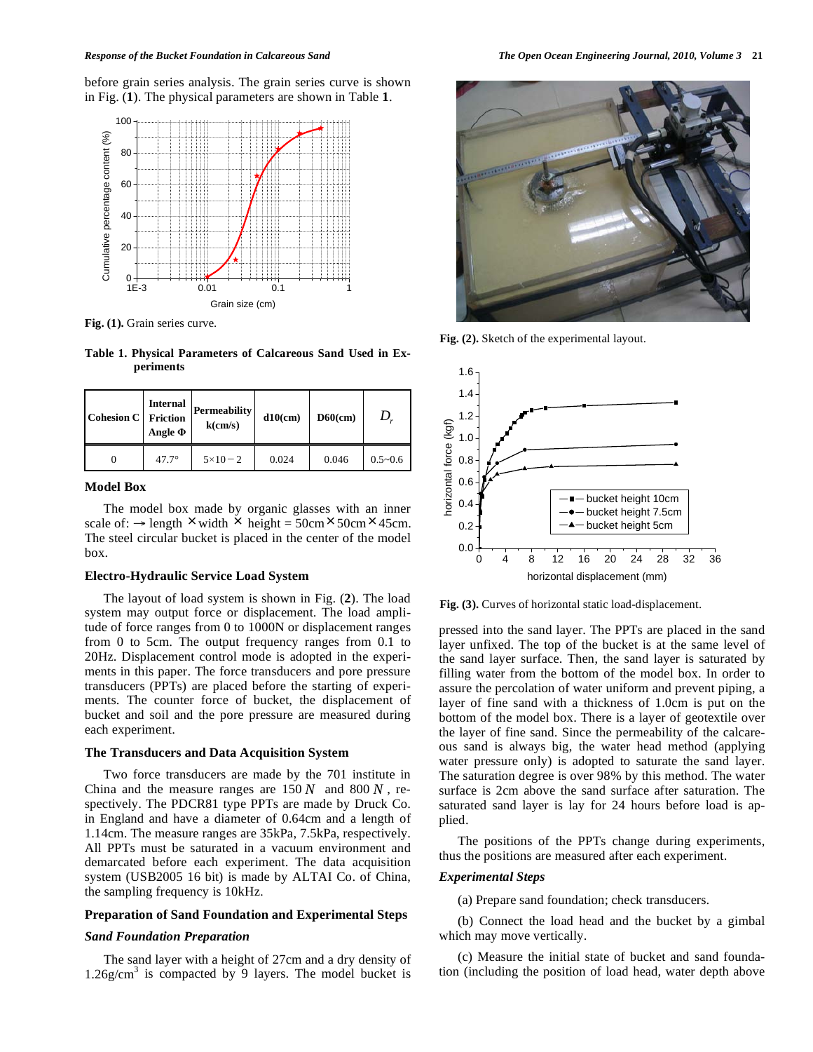before grain series analysis. The grain series curve is shown in Fig. (**1**). The physical parameters are shown in Table **1**.



**Fig. (1).** Grain series curve.

**Table 1. Physical Parameters of Calcareous Sand Used in Experiments** 

| <b>Cohesion C</b> | Internal<br><b>Friction</b><br>Angle $\Phi$ | Permeability<br>k(cm/s) | $d10$ (cm) | $D60$ (cm) |             |
|-------------------|---------------------------------------------|-------------------------|------------|------------|-------------|
|                   | $47.7^\circ$                                | $5 \times 10 - 2$       | 0.024      | 0.046      | $0.5 - 0.6$ |

# **Model Box**

The model box made by organic glasses with an inner scale of:  $\rightarrow$  length  $\times$  width  $\times$  height = 50cm $\times$ 50cm $\times$ 45cm. The steel circular bucket is placed in the center of the model box.

## **Electro-Hydraulic Service Load System**

The layout of load system is shown in Fig. (**2**). The load system may output force or displacement. The load amplitude of force ranges from 0 to 1000N or displacement ranges from 0 to 5cm. The output frequency ranges from 0.1 to 20Hz. Displacement control mode is adopted in the experiments in this paper. The force transducers and pore pressure transducers (PPTs) are placed before the starting of experiments. The counter force of bucket, the displacement of bucket and soil and the pore pressure are measured during each experiment.

#### **The Transducers and Data Acquisition System**

Two force transducers are made by the 701 institute in China and the measure ranges are 150 *N* and 800 *N* , respectively. The PDCR81 type PPTs are made by Druck Co. in England and have a diameter of 0.64cm and a length of 1.14cm. The measure ranges are 35kPa, 7.5kPa, respectively. All PPTs must be saturated in a vacuum environment and demarcated before each experiment. The data acquisition system (USB2005 16 bit) is made by ALTAI Co. of China, the sampling frequency is 10kHz

#### **Preparation of Sand Foundation and Experimental Steps**

#### *Sand Foundation Preparation*

The sand layer with a height of 27cm and a dry density of  $1.26$ g/cm<sup>3</sup> is compacted by 9 layers. The model bucket is



**Fig. (2).** Sketch of the experimental layout.



Fig. (3). Curves of horizontal static load-displacement.

pressed into the sand layer. The PPTs are placed in the sand layer unfixed. The top of the bucket is at the same level of the sand layer surface. Then, the sand layer is saturated by filling water from the bottom of the model box. In order to assure the percolation of water uniform and prevent piping, a layer of fine sand with a thickness of 1.0cm is put on the bottom of the model box. There is a layer of geotextile over the layer of fine sand. Since the permeability of the calcareous sand is always big, the water head method (applying water pressure only) is adopted to saturate the sand layer. The saturation degree is over 98% by this method. The water surface is 2cm above the sand surface after saturation. The saturated sand layer is lay for 24 hours before load is applied.

The positions of the PPTs change during experiments, thus the positions are measured after each experiment.

# *Experimental Steps*

(a) Prepare sand foundation; check transducers.

(b) Connect the load head and the bucket by a gimbal which may move vertically.

(c) Measure the initial state of bucket and sand foundation (including the position of load head, water depth above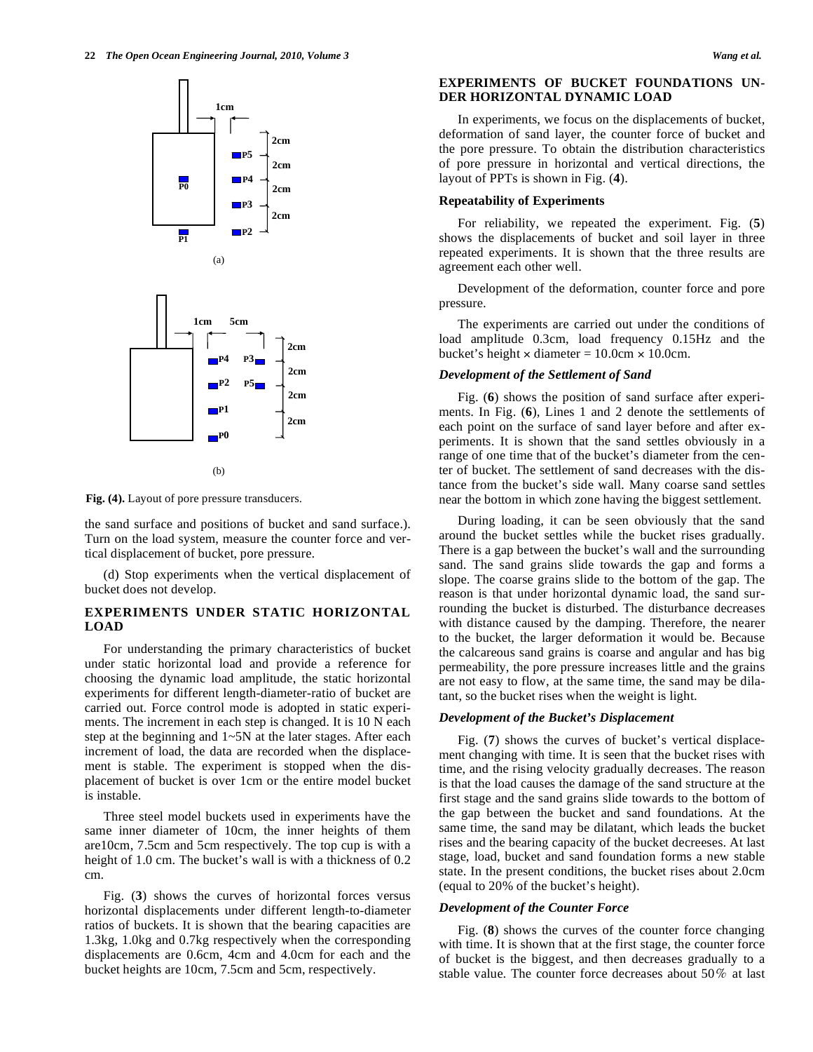



(b)

**Fig. (4).** Layout of pore pressure transducers.

the sand surface and positions of bucket and sand surface.). Turn on the load system, measure the counter force and vertical displacement of bucket, pore pressure.

(d) Stop experiments when the vertical displacement of bucket does not develop.

# **EXPERIMENTS UNDER STATIC HORIZONTAL LOAD**

For understanding the primary characteristics of bucket under static horizontal load and provide a reference for choosing the dynamic load amplitude, the static horizontal experiments for different length-diameter-ratio of bucket are carried out. Force control mode is adopted in static experiments. The increment in each step is changed. It is 10 N each step at the beginning and 1~5N at the later stages. After each increment of load, the data are recorded when the displacement is stable. The experiment is stopped when the displacement of bucket is over 1cm or the entire model bucket is instable.

Three steel model buckets used in experiments have the same inner diameter of 10cm, the inner heights of them are10cm, 7.5cm and 5cm respectively. The top cup is with a height of 1.0 cm. The bucket's wall is with a thickness of  $0.2$ cm.

Fig. (**3**) shows the curves of horizontal forces versus horizontal displacements under different length-to-diameter ratios of buckets. It is shown that the bearing capacities are 1.3kg, 1.0kg and 0.7kg respectively when the corresponding displacements are 0.6cm, 4cm and 4.0cm for each and the bucket heights are 10cm, 7.5cm and 5cm, respectively.

## **EXPERIMENTS OF BUCKET FOUNDATIONS UN-DER HORIZONTAL DYNAMIC LOAD**

In experiments, we focus on the displacements of bucket, deformation of sand layer, the counter force of bucket and the pore pressure. To obtain the distribution characteristics of pore pressure in horizontal and vertical directions, the layout of PPTs is shown in Fig. (**4**).

#### **Repeatability of Experiments**

For reliability, we repeated the experiment. Fig. (**5**) shows the displacements of bucket and soil layer in three repeated experiments. It is shown that the three results are agreement each other well.

Development of the deformation, counter force and pore pressure.

The experiments are carried out under the conditions of load amplitude 0.3cm, load frequency 0.15Hz and the bucket's height  $\times$  diameter = 10.0cm  $\times$  10.0cm.

## *Development of the Settlement of Sand*

Fig. (**6**) shows the position of sand surface after experiments. In Fig. (**6**), Lines 1 and 2 denote the settlements of each point on the surface of sand layer before and after experiments. It is shown that the sand settles obviously in a range of one time that of the bucket's diameter from the center of bucket. The settlement of sand decreases with the distance from the bucket's side wall. Many coarse sand settles near the bottom in which zone having the biggest settlement.

During loading, it can be seen obviously that the sand around the bucket settles while the bucket rises gradually. There is a gap between the bucket's wall and the surrounding sand. The sand grains slide towards the gap and forms a slope. The coarse grains slide to the bottom of the gap. The reason is that under horizontal dynamic load, the sand surrounding the bucket is disturbed. The disturbance decreases with distance caused by the damping. Therefore, the nearer to the bucket, the larger deformation it would be. Because the calcareous sand grains is coarse and angular and has big permeability, the pore pressure increases little and the grains are not easy to flow, at the same time, the sand may be dilatant, so the bucket rises when the weight is light.

#### *Development of the Bucket's Displacement*

Fig. (**7**) shows the curves of bucket's vertical displacement changing with time. It is seen that the bucket rises with time, and the rising velocity gradually decreases. The reason is that the load causes the damage of the sand structure at the first stage and the sand grains slide towards to the bottom of the gap between the bucket and sand foundations. At the same time, the sand may be dilatant, which leads the bucket rises and the bearing capacity of the bucket decreeses. At last stage, load, bucket and sand foundation forms a new stable state. In the present conditions, the bucket rises about 2.0cm (equal to 20% of the bucket's height).

#### *Development of the Counter Force*

Fig. (**8**) shows the curves of the counter force changing with time. It is shown that at the first stage, the counter force of bucket is the biggest, and then decreases gradually to a stable value. The counter force decreases about  $50\%$  at last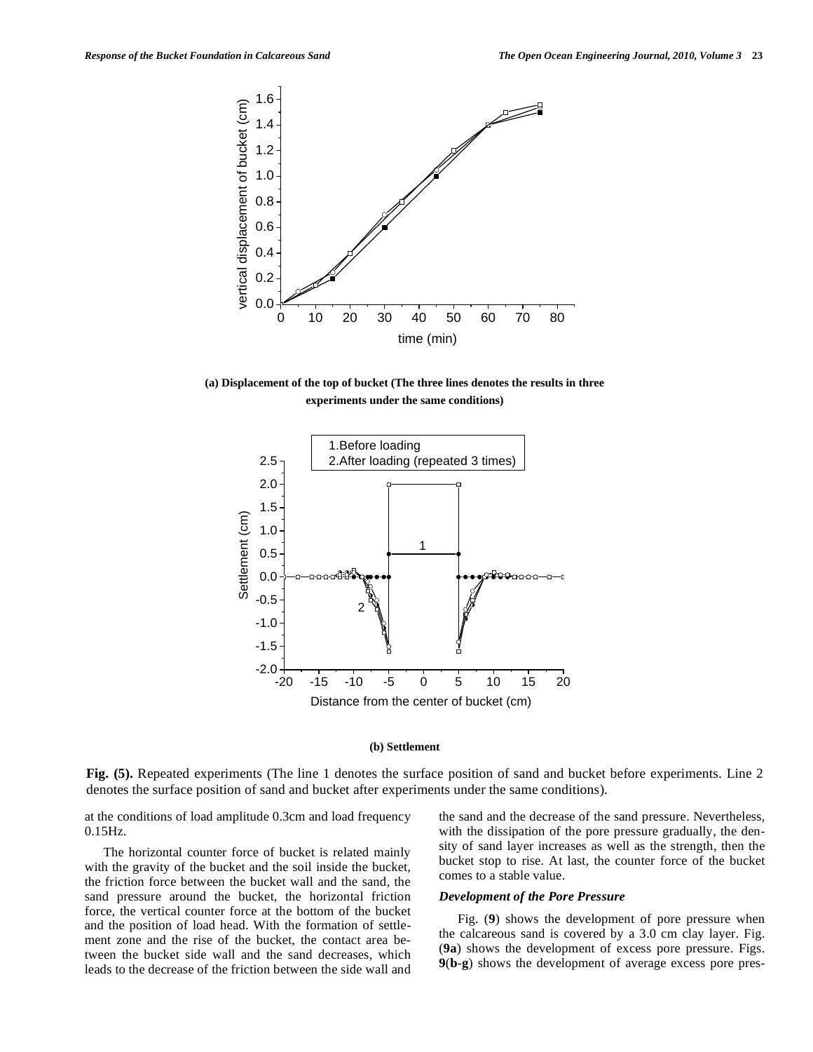

**(a) Displacement of the top of bucket (The three lines denotes the results in three experiments under the same conditions)**



## **(b) Settlement**

**Fig. (5).** Repeated experiments (The line 1 denotes the surface position of sand and bucket before experiments. Line 2 denotes the surface position of sand and bucket after experiments under the same conditions).

at the conditions of load amplitude 0.3cm and load frequency 0.15Hz.

The horizontal counter force of bucket is related mainly with the gravity of the bucket and the soil inside the bucket, the friction force between the bucket wall and the sand, the sand pressure around the bucket, the horizontal friction force, the vertical counter force at the bottom of the bucket and the position of load head. With the formation of settlement zone and the rise of the bucket, the contact area between the bucket side wall and the sand decreases, which leads to the decrease of the friction between the side wall and the sand and the decrease of the sand pressure. Nevertheless, with the dissipation of the pore pressure gradually, the density of sand layer increases as well as the strength, then the bucket stop to rise. At last, the counter force of the bucket comes to a stable value.

#### *Development of the Pore Pressure*

Fig. (**9**) shows the development of pore pressure when the calcareous sand is covered by a 3.0 cm clay layer. Fig. (**9a**) shows the development of excess pore pressure. Figs. **9**(**b**-**g**) shows the development of average excess pore pres-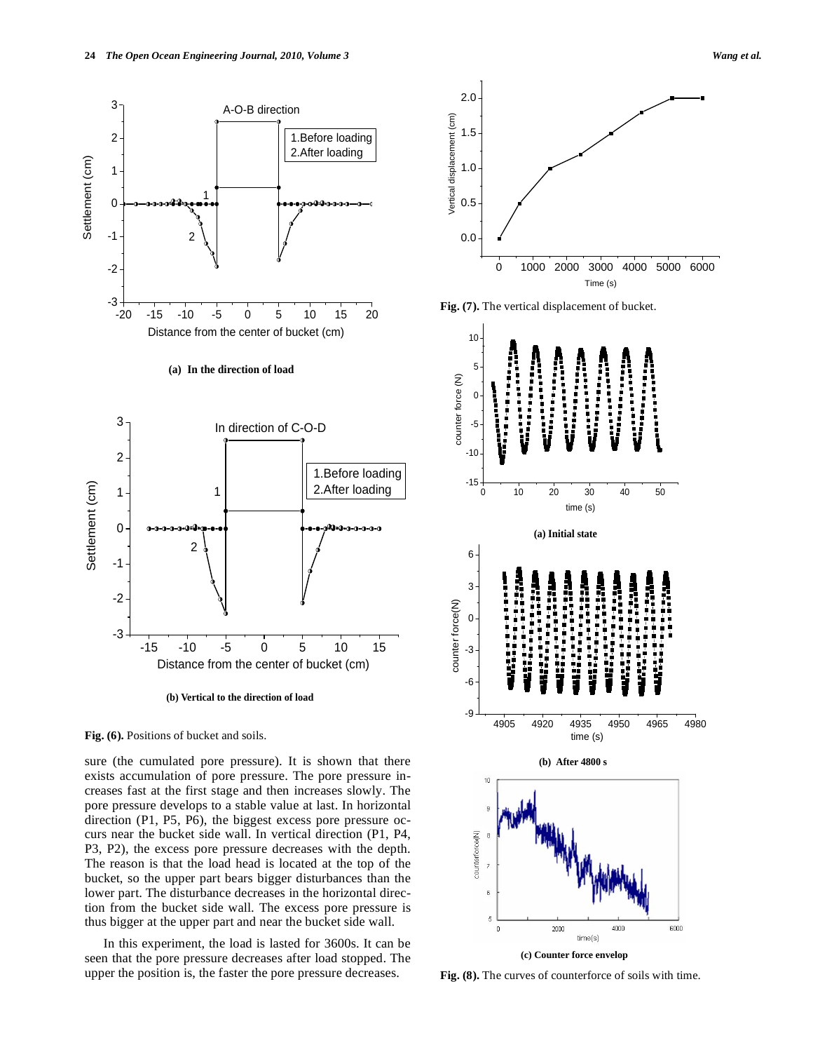



sure (the cumulated pore pressure). It is shown that there exists accumulation of pore pressure. The pore pressure increases fast at the first stage and then increases slowly. The pore pressure develops to a stable value at last. In horizontal direction (P1, P5, P6), the biggest excess pore pressure occurs near the bucket side wall. In vertical direction (P1, P4, P3, P2), the excess pore pressure decreases with the depth. The reason is that the load head is located at the top of the bucket, so the upper part bears bigger disturbances than the lower part. The disturbance decreases in the horizontal direction from the bucket side wall. The excess pore pressure is thus bigger at the upper part and near the bucket side wall.

In this experiment, the load is lasted for 3600s. It can be seen that the pore pressure decreases after load stopped. The upper the position is, the faster the pore pressure decreases.



**Fig. (7).** The vertical displacement of bucket.



**Fig. (8).** The curves of counterforce of soils with time.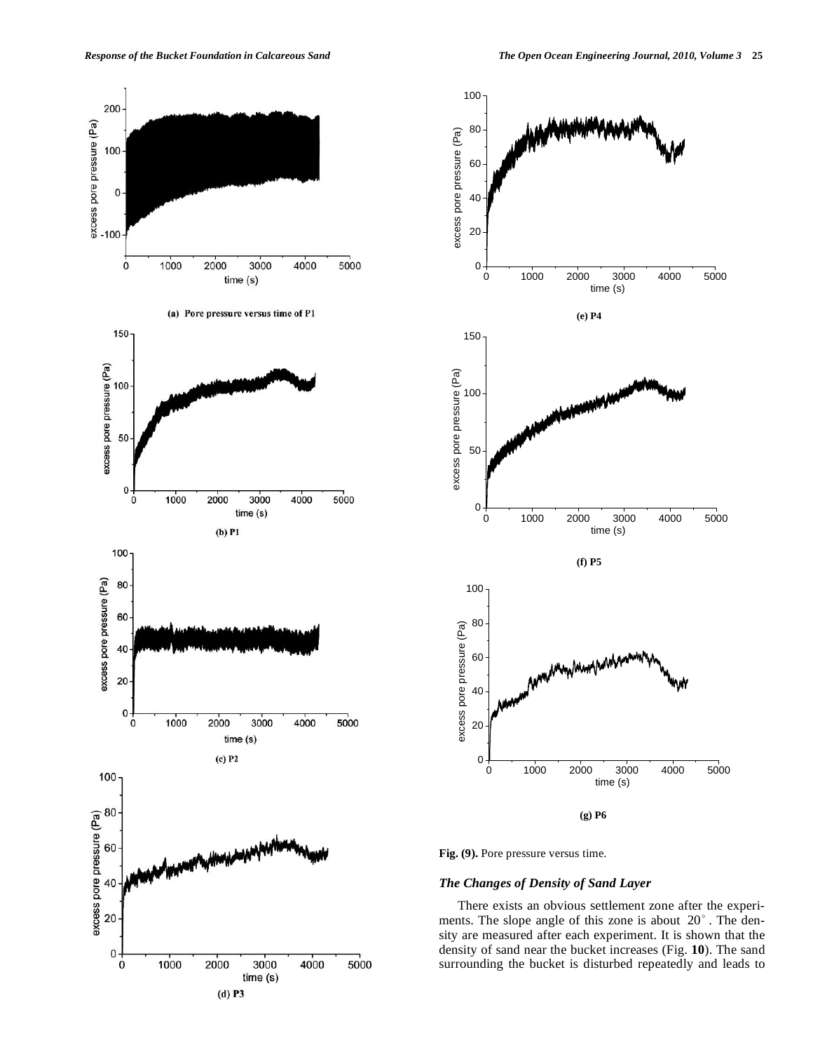





**Fig. (9).** Pore pressure versus time.

# *The Changes of Density of Sand Layer*

There exists an obvious settlement zone after the experiments. The slope angle of this zone is about  $20^\circ$  . The density are measured after each experiment. It is shown that the density of sand near the bucket increases (Fig. **10**). The sand surrounding the bucket is disturbed repeatedly and leads to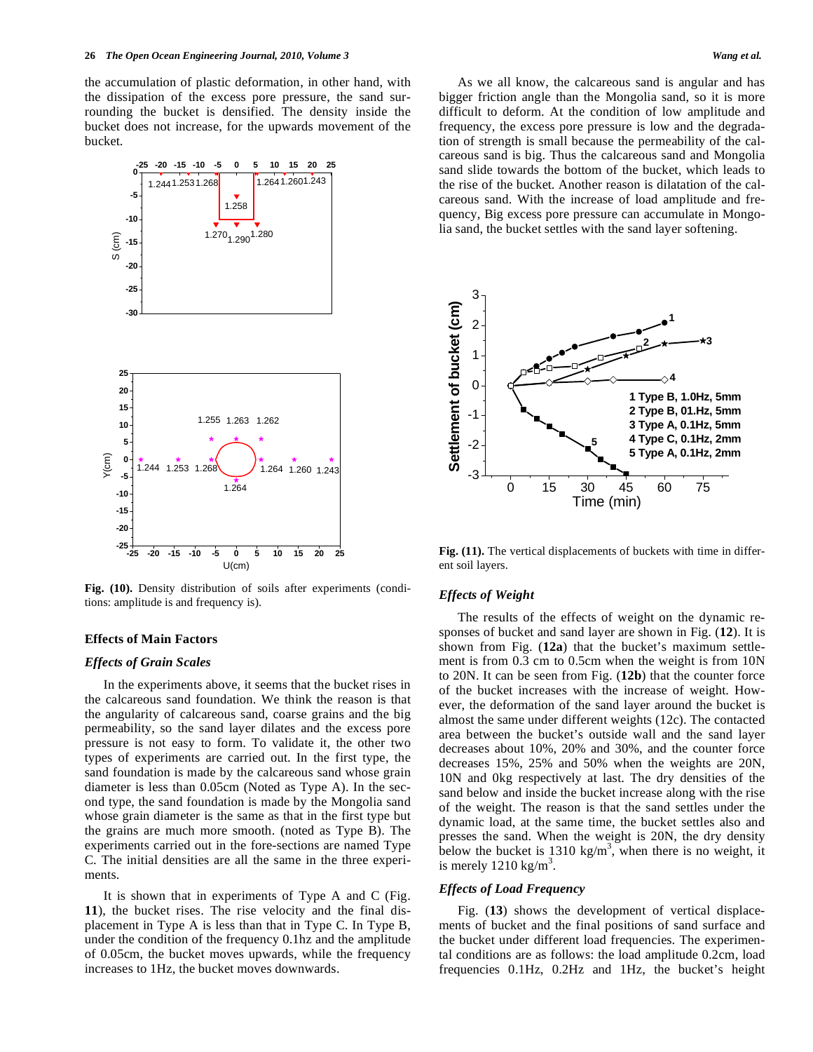the accumulation of plastic deformation, in other hand, with the dissipation of the excess pore pressure, the sand surrounding the bucket is densified. The density inside the bucket does not increase, for the upwards movement of the bucket.



**Fig. (10).** Density distribution of soils after experiments (conditions: amplitude is and frequency is).

# **Effects of Main Factors**

#### *Effects of Grain Scales*

In the experiments above, it seems that the bucket rises in the calcareous sand foundation. We think the reason is that the angularity of calcareous sand, coarse grains and the big permeability, so the sand layer dilates and the excess pore pressure is not easy to form. To validate it, the other two types of experiments are carried out. In the first type, the sand foundation is made by the calcareous sand whose grain diameter is less than 0.05cm (Noted as Type A). In the second type, the sand foundation is made by the Mongolia sand whose grain diameter is the same as that in the first type but the grains are much more smooth. (noted as Type B). The experiments carried out in the fore-sections are named Type C. The initial densities are all the same in the three experiments.

It is shown that in experiments of Type A and C (Fig. **11**), the bucket rises. The rise velocity and the final displacement in Type A is less than that in Type C. In Type B, under the condition of the frequency 0.1hz and the amplitude of 0.05cm, the bucket moves upwards, while the frequency increases to 1Hz, the bucket moves downwards.

As we all know, the calcareous sand is angular and has bigger friction angle than the Mongolia sand, so it is more difficult to deform. At the condition of low amplitude and frequency, the excess pore pressure is low and the degradation of strength is small because the permeability of the calcareous sand is big. Thus the calcareous sand and Mongolia sand slide towards the bottom of the bucket, which leads to the rise of the bucket. Another reason is dilatation of the calcareous sand. With the increase of load amplitude and frequency, Big excess pore pressure can accumulate in Mongolia sand, the bucket settles with the sand layer softening.



**Fig. (11).** The vertical displacements of buckets with time in different soil layers.

#### *Effects of Weight*

The results of the effects of weight on the dynamic responses of bucket and sand layer are shown in Fig. (**12**). It is shown from Fig. (**12a**) that the bucket's maximum settlement is from 0.3 cm to 0.5cm when the weight is from 10N to 20N. It can be seen from Fig. (**12b**) that the counter force of the bucket increases with the increase of weight. However, the deformation of the sand layer around the bucket is almost the same under different weights (12c). The contacted area between the bucket's outside wall and the sand layer decreases about 10%, 20% and 30%, and the counter force decreases 15%, 25% and 50% when the weights are 20N, 10N and 0kg respectively at last. The dry densities of the sand below and inside the bucket increase along with the rise of the weight. The reason is that the sand settles under the dynamic load, at the same time, the bucket settles also and presses the sand. When the weight is 20N, the dry density below the bucket is 1310 kg/m<sup>3</sup>, when there is no weight, it is merely  $1210 \text{ kg/m}^3$ .

#### *Effects of Load Frequency*

Fig. (**13**) shows the development of vertical displacements of bucket and the final positions of sand surface and the bucket under different load frequencies. The experimental conditions are as follows: the load amplitude 0.2cm, load frequencies 0.1Hz, 0.2Hz and 1Hz, the bucket's height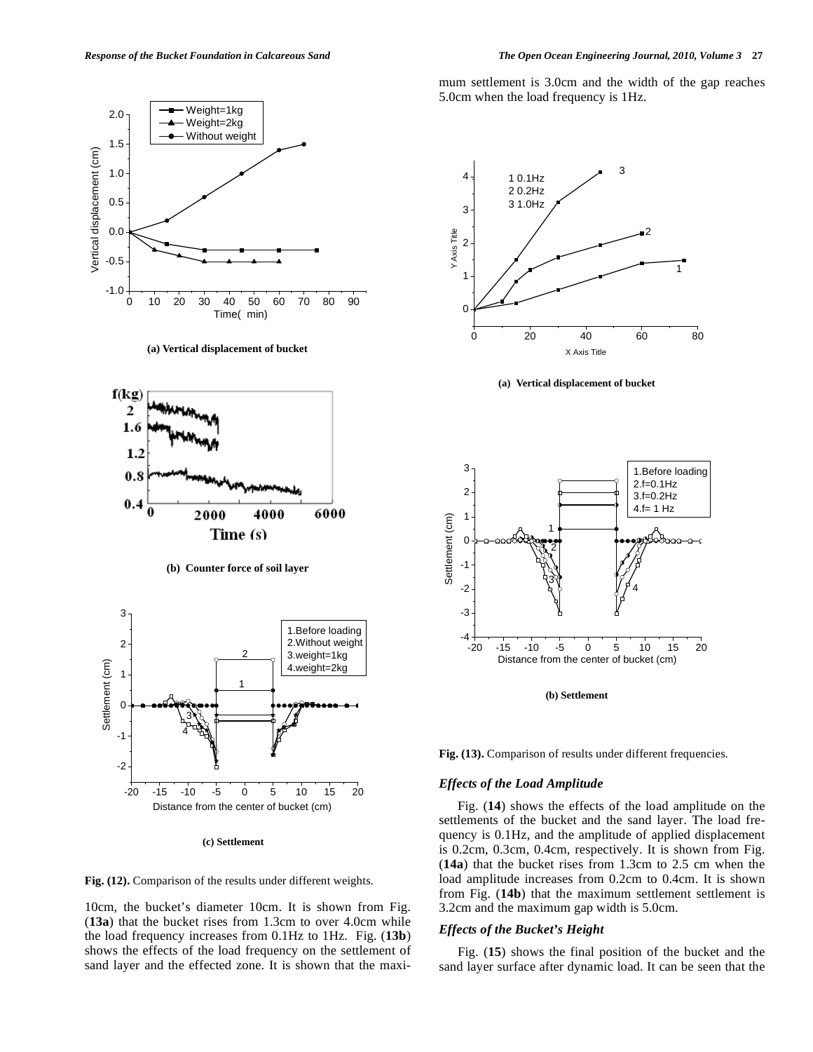

**(a) Vertical displacement of bucket**



**(b) Counter force of soil layer** 



**(c) Settlement** 



10cm, the bucket's diameter 10cm. It is shown from Fig. (**13a**) that the bucket rises from 1.3cm to over 4.0cm while the load frequency increases from 0.1Hz to 1Hz. Fig. (**13b**) shows the effects of the load frequency on the settlement of sand layer and the effected zone. It is shown that the maximum settlement is 3.0cm and the width of the gap reaches 5.0cm when the load frequency is 1Hz.



**(a) Vertical displacement of bucket** 



**(b) Settlement** 

**Fig. (13).** Comparison of results under different frequencies.

#### *Effects of the Load Amplitude*

Fig. (**14**) shows the effects of the load amplitude on the settlements of the bucket and the sand layer. The load frequency is 0.1Hz, and the amplitude of applied displacement is 0.2cm, 0.3cm, 0.4cm, respectively. It is shown from Fig. (**14a**) that the bucket rises from 1.3cm to 2.5 cm when the load amplitude increases from 0.2cm to 0.4cm. It is shown from Fig. (**14b**) that the maximum settlement settlement is 3.2cm and the maximum gap width is 5.0cm.

#### *Effects of the Bucket's Height*

Fig. (**15**) shows the final position of the bucket and the sand layer surface after dynamic load. It can be seen that the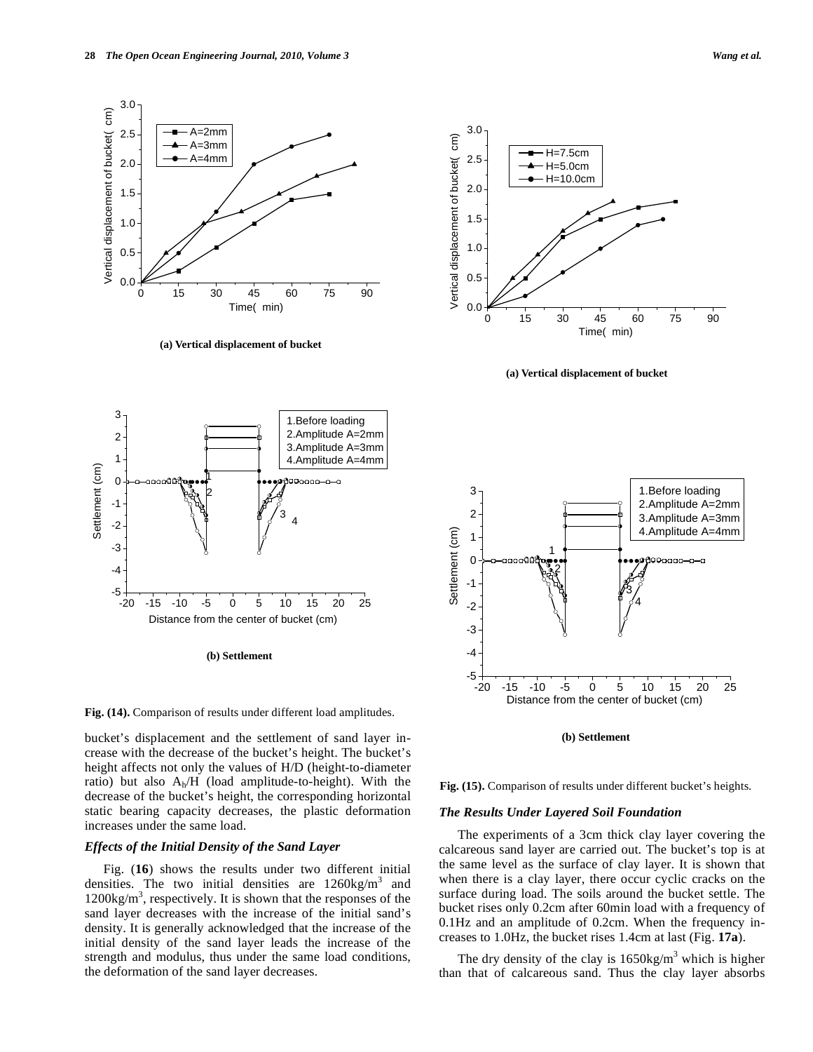

bucket's displacement and the settlement of sand layer increase with the decrease of the bucket's height. The bucket's height affects not only the values of H/D (height-to-diameter ratio) but also Ah/H (load amplitude-to-height). With the decrease of the bucket's height, the corresponding horizontal static bearing capacity decreases, the plastic deformation increases under the same load.

# *Effects of the Initial Density of the Sand Layer*

Fig. (**16**) shows the results under two different initial densities. The two initial densities are  $1260 \text{kg/m}^3$  and  $1200\text{kg/m}^3$ , respectively. It is shown that the responses of the sand layer decreases with the increase of the initial sand's density. It is generally acknowledged that the increase of the initial density of the sand layer leads the increase of the strength and modulus, thus under the same load conditions, the deformation of the sand layer decreases.

**Fig. (15).** Comparison of results under different bucket's heights.

**(b) Settlement** 

#### *The Results Under Layered Soil Foundation*

The experiments of a 3cm thick clay layer covering the calcareous sand layer are carried out. The bucket's top is at the same level as the surface of clay layer. It is shown that when there is a clay layer, there occur cyclic cracks on the surface during load. The soils around the bucket settle. The bucket rises only 0.2cm after 60min load with a frequency of 0.1Hz and an amplitude of 0.2cm. When the frequency increases to 1.0Hz, the bucket rises 1.4cm at last (Fig. **17a**).

The dry density of the clay is  $1650 \text{kg/m}^3$  which is higher than that of calcareous sand. Thus the clay layer absorbs

-20 -15 -10 -5 0 5 10 15 20 25

<sup>3</sup> <sup>4</sup>

)0നവറ—റ—റ

Distance from the center of bucket (cm)

**(b) Settlement** 

1 2 3 1.Before loading 2.Amplitude A=2mm 3.Amplitude A=3mm 4.Amplitude A=4mm

1 2

0.0

 $-5 +$ 

-4 -3 -2 -1  $\Omega$ 

Settlement (cm)

Settlement (cm)

0.5

1.0

1.5

Vertical displacement of bucket( cm)

Vertical displacement of bucket(

 $\widehat{\epsilon}$ 

2.0

2.5

3.0

0 15 30 45 60 75 90

Time( min)

**(a) Vertical displacement of bucket**







 A=2mm A=3mm A=4mm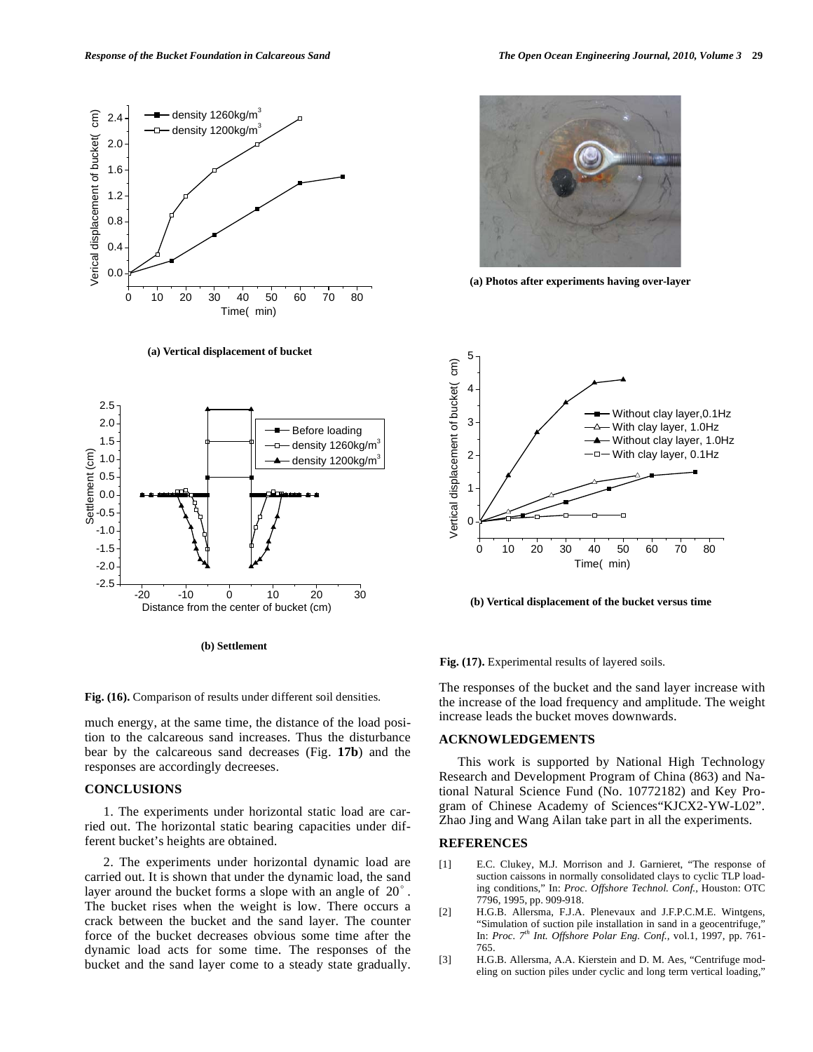

**(a) Vertical displacement of bucket**



**(b) Settlement** 

**Fig. (16).** Comparison of results under different soil densities.

much energy, at the same time, the distance of the load position to the calcareous sand increases. Thus the disturbance bear by the calcareous sand decreases (Fig. **17b**) and the responses are accordingly decreeses.

## **CONCLUSIONS**

1. The experiments under horizontal static load are carried out. The horizontal static bearing capacities under different bucket's heights are obtained.

2. The experiments under horizontal dynamic load are carried out. It is shown that under the dynamic load, the sand layer around the bucket forms a slope with an angle of  $20^\circ$ . The bucket rises when the weight is low. There occurs a crack between the bucket and the sand layer. The counter force of the bucket decreases obvious some time after the dynamic load acts for some time. The responses of the bucket and the sand layer come to a steady state gradually.



**(a) Photos after experiments having over-layer**



**(b) Vertical displacement of the bucket versus time** 

**Fig. (17).** Experimental results of layered soils.

The responses of the bucket and the sand layer increase with the increase of the load frequency and amplitude. The weight increase leads the bucket moves downwards.

#### **ACKNOWLEDGEMENTS**

This work is supported by National High Technology Research and Development Program of China (863) and National Natural Science Fund (No. 10772182) and Key Program of Chinese Academy of Sciences"KJCX2-YW-L02". Zhao Jing and Wang Ailan take part in all the experiments.

#### **REFERENCES**

- [1] E.C. Clukey, M.J. Morrison and J. Garnieret, "The response of suction caissons in normally consolidated clays to cyclic TLP loading conditions," In: *Proc. Offshore Technol. Conf.,* Houston: OTC 7796, 1995, pp. 909-918.
- [2] H.G.B. Allersma, F.J.A. Plenevaux and J.F.P.C.M.E. Wintgens, "Simulation of suction pile installation in sand in a geocentrifuge," In: *Proc. 7th Int. Offshore Polar Eng. Conf.,* vol.1, 1997, pp. 761- 765.
- [3] H.G.B. Allersma, A.A. Kierstein and D. M. Aes, "Centrifuge modeling on suction piles under cyclic and long term vertical loading,"